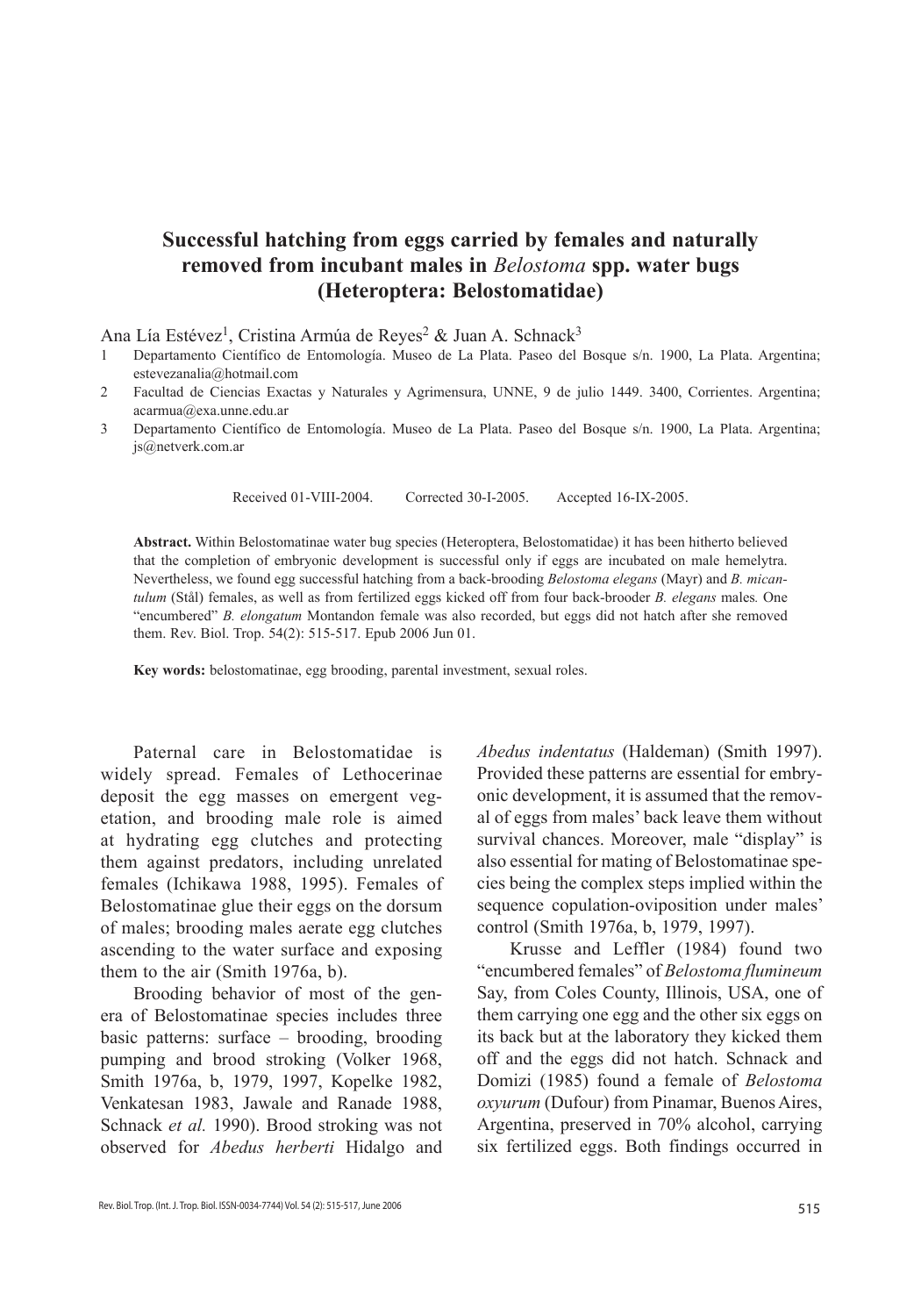## **Successful hatching from eggs carried by females and naturally removed from incubant males in** *Belostoma* **spp. water bugs (Heteroptera: Belostomatidae)**

Ana Lía Estévez<sup>1</sup>, Cristina Armúa de Reyes<sup>2</sup> & Juan A. Schnack<sup>3</sup>

- 1 Departamento Científico de Entomología. Museo de La Plata. Paseo del Bosque s/n. 1900, La Plata. Argentina; estevezanalia@hotmail.com
- 2 Facultad de Ciencias Exactas y Naturales y Agrimensura, UNNE, 9 de julio 1449. 3400, Corrientes. Argentina; acarmua@exa.unne.edu.ar
- 3 Departamento Científico de Entomología. Museo de La Plata. Paseo del Bosque s/n. 1900, La Plata. Argentina; js@netverk.com.ar

Received 01-VIII-2004. Corrected 30-I-2005. Accepted 16-IX-2005.

**Abstract.** Within Belostomatinae water bug species (Heteroptera, Belostomatidae) it has been hitherto believed that the completion of embryonic development is successful only if eggs are incubated on male hemelytra. Nevertheless, we found egg successful hatching from a back-brooding *Belostoma elegans* (Mayr) and *B. micantulum* (Stål) females, as well as from fertilized eggs kicked off from four back-brooder *B. elegans* males*.* One "encumbered" *B. elongatum* Montandon female was also recorded, but eggs did not hatch after she removed them. Rev. Biol. Trop. 54(2): 515-517. Epub 2006 Jun 01.

**Key words:** belostomatinae, egg brooding, parental investment, sexual roles.

Paternal care in Belostomatidae is widely spread. Females of Lethocerinae deposit the egg masses on emergent vegetation, and brooding male role is aimed at hydrating egg clutches and protecting them against predators, including unrelated females (Ichikawa 1988, 1995). Females of Belostomatinae glue their eggs on the dorsum of males; brooding males aerate egg clutches ascending to the water surface and exposing them to the air (Smith 1976a, b).

Brooding behavior of most of the genera of Belostomatinae species includes three basic patterns: surface – brooding, brooding pumping and brood stroking (Volker 1968, Smith 1976a, b, 1979, 1997, Kopelke 1982, Venkatesan 1983, Jawale and Ranade 1988, Schnack *et al.* 1990). Brood stroking was not observed for *Abedus herberti* Hidalgo and *Abedus indentatus* (Haldeman) (Smith 1997). Provided these patterns are essential for embryonic development, it is assumed that the removal of eggs from males' back leave them without survival chances. Moreover, male "display" is also essential for mating of Belostomatinae species being the complex steps implied within the sequence copulation-oviposition under males' control (Smith 1976a, b, 1979, 1997).

Krusse and Leffler (1984) found two "encumbered females" of *Belostoma flumineum* Say, from Coles County, Illinois, USA, one of them carrying one egg and the other six eggs on its back but at the laboratory they kicked them off and the eggs did not hatch. Schnack and Domizi (1985) found a female of *Belostoma oxyurum* (Dufour) from Pinamar, Buenos Aires, Argentina, preserved in 70% alcohol, carrying six fertilized eggs. Both findings occurred in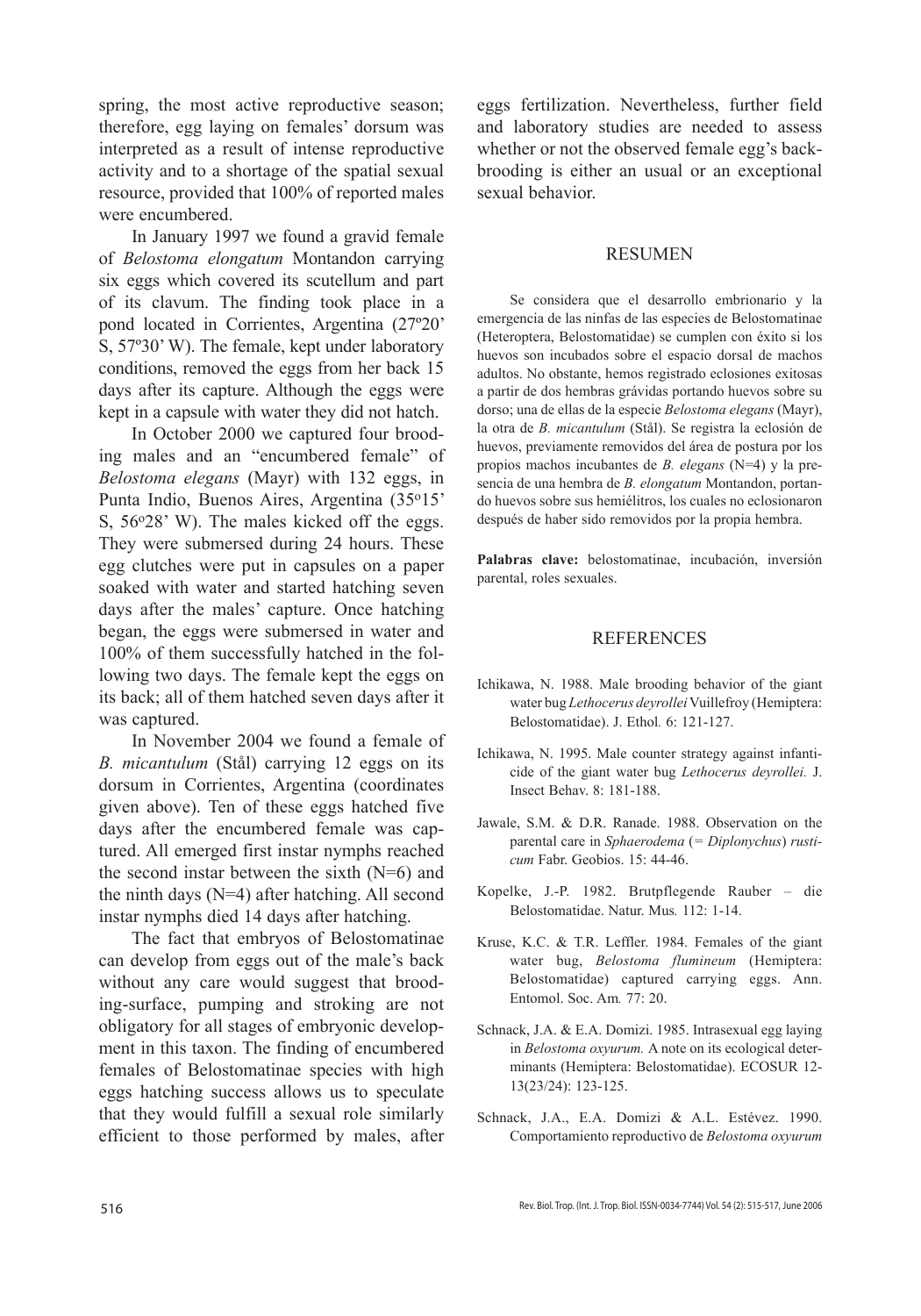spring, the most active reproductive season; therefore, egg laying on females' dorsum was interpreted as a result of intense reproductive activity and to a shortage of the spatial sexual resource, provided that 100% of reported males were encumbered.

In January 1997 we found a gravid female of *Belostoma elongatum* Montandon carrying six eggs which covered its scutellum and part of its clavum. The finding took place in a pond located in Corrientes, Argentina (27º20' S, 57º30' W). The female, kept under laboratory conditions, removed the eggs from her back 15 days after its capture. Although the eggs were kept in a capsule with water they did not hatch.

In October 2000 we captured four brooding males and an "encumbered female" of *Belostoma elegans* (Mayr) with 132 eggs, in Punta Indio, Buenos Aires, Argentina (35o15' S, 56°28' W). The males kicked off the eggs. They were submersed during 24 hours. These egg clutches were put in capsules on a paper soaked with water and started hatching seven days after the males' capture. Once hatching began, the eggs were submersed in water and 100% of them successfully hatched in the following two days. The female kept the eggs on its back; all of them hatched seven days after it was captured.

In November 2004 we found a female of *B. micantulum* (Stål) carrying 12 eggs on its dorsum in Corrientes, Argentina (coordinates given above). Ten of these eggs hatched five days after the encumbered female was captured. All emerged first instar nymphs reached the second instar between the sixth (N=6) and the ninth days (N=4) after hatching. All second instar nymphs died 14 days after hatching.

The fact that embryos of Belostomatinae can develop from eggs out of the male's back without any care would suggest that brooding-surface, pumping and stroking are not obligatory for all stages of embryonic development in this taxon. The finding of encumbered females of Belostomatinae species with high eggs hatching success allows us to speculate that they would fulfill a sexual role similarly efficient to those performed by males, after

eggs fertilization. Nevertheless, further field and laboratory studies are needed to assess whether or not the observed female egg's backbrooding is either an usual or an exceptional sexual behavior.

## RESUMEN

Se considera que el desarrollo embrionario y la emergencia de las ninfas de las especies de Belostomatinae (Heteroptera, Belostomatidae) se cumplen con éxito si los huevos son incubados sobre el espacio dorsal de machos adultos. No obstante, hemos registrado eclosiones exitosas a partir de dos hembras grávidas portando huevos sobre su dorso; una de ellas de la especie *Belostoma elegans* (Mayr), la otra de *B. micantulum* (Stål). Se registra la eclosión de huevos, previamente removidos del área de postura por los propios machos incubantes de *B. elegans* (N=4) y la presencia de una hembra de *B. elongatum* Montandon, portando huevos sobre sus hemiélitros, los cuales no eclosionaron después de haber sido removidos por la propia hembra.

**Palabras clave:** belostomatinae, incubación, inversión parental, roles sexuales.

## REFERENCES

- Ichikawa, N. 1988. Male brooding behavior of the giant water bug *Lethocerus deyrollei* Vuillefroy (Hemiptera: Belostomatidae). J. Ethol*.* 6: 121-127.
- Ichikawa, N. 1995. Male counter strategy against infanticide of the giant water bug *Lethocerus deyrollei.* J. Insect Behav. 8: 181-188.
- Jawale, S.M. & D.R. Ranade. 1988. Observation on the parental care in *Sphaerodema* (*= Diplonychus*) *rusticum* Fabr. Geobios. 15: 44-46.
- Kopelke, J.-P. 1982. Brutpflegende Rauber die Belostomatidae. Natur. Mus*.* 112: 1-14.
- Kruse, K.C. & T.R. Leffler. 1984. Females of the giant water bug, *Belostoma flumineum* (Hemiptera: Belostomatidae) captured carrying eggs. Ann. Entomol. Soc. Am*.* 77: 20.
- Schnack, J.A. & E.A. Domizi. 1985. Intrasexual egg laying in *Belostoma oxyurum.* A note on its ecological determinants (Hemiptera: Belostomatidae). ECOSUR 12- 13(23/24): 123-125.
- Schnack, J.A., E.A. Domizi & A.L. Estévez. 1990. Comportamiento reproductivo de *Belostoma oxyurum*